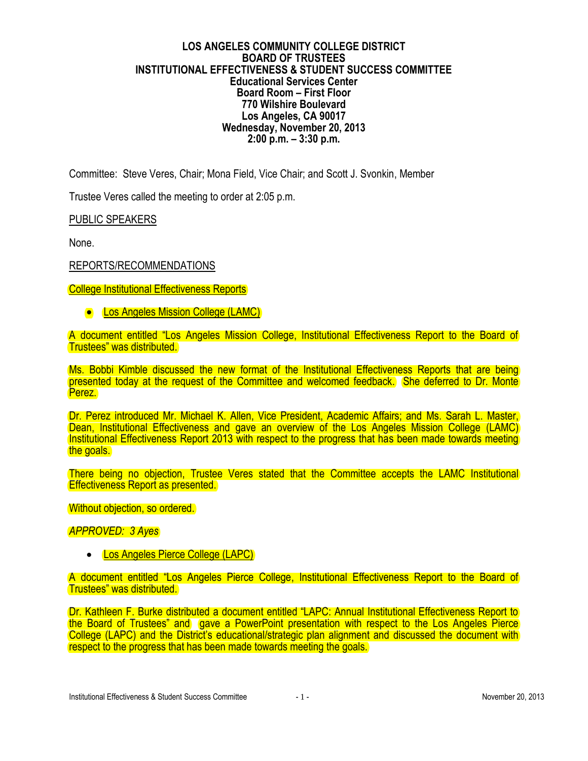## **LOS ANGELES COMMUNITY COLLEGE DISTRICT BOARD OF TRUSTEES INSTITUTIONAL EFFECTIVENESS & STUDENT SUCCESS COMMITTEE Educational Services Center Board Room – First Floor 770 Wilshire Boulevard Los Angeles, CA 90017 Wednesday, November 20, 2013 2:00 p.m. – 3:30 p.m.**

Committee: Steve Veres, Chair; Mona Field, Vice Chair; and Scott J. Svonkin, Member

Trustee Veres called the meeting to order at 2:05 p.m.

PUBLIC SPEAKERS

None.

## REPORTS/RECOMMENDATIONS

**College Institutional Effectiveness Reports** 

**• Los Angeles Mission College (LAMC)** 

A document entitled "Los Angeles Mission College, Institutional Effectiveness Report to the Board of Trustees" was distributed.

Ms. Bobbi Kimble discussed the new format of the Institutional Effectiveness Reports that are being presented today at the request of the Committee and welcomed feedback. She deferred to Dr. Monte Perez.

Dr. Perez introduced Mr. Michael K. Allen, Vice President, Academic Affairs; and Ms. Sarah L. Master, Dean, Institutional Effectiveness and gave an overview of the Los Angeles Mission College (LAMC) Institutional Effectiveness Report 2013 with respect to the progress that has been made towards meeting the goals.

There being no objection, Trustee Veres stated that the Committee accepts the LAMC Institutional Effectiveness Report as presented.

Without objection, so ordered.

*APPROVED: 3 Ayes*

• Los Angeles Pierce College (LAPC)

A document entitled "Los Angeles Pierce College, Institutional Effectiveness Report to the Board of Trustees" was distributed.

Dr. Kathleen F. Burke distributed a document entitled "LAPC: Annual Institutional Effectiveness Report to the Board of Trustees" and gave a PowerPoint presentation with respect to the Los Angeles Pierce College (LAPC) and the District's educational/strategic plan alignment and discussed the document with respect to the progress that has been made towards meeting the goals.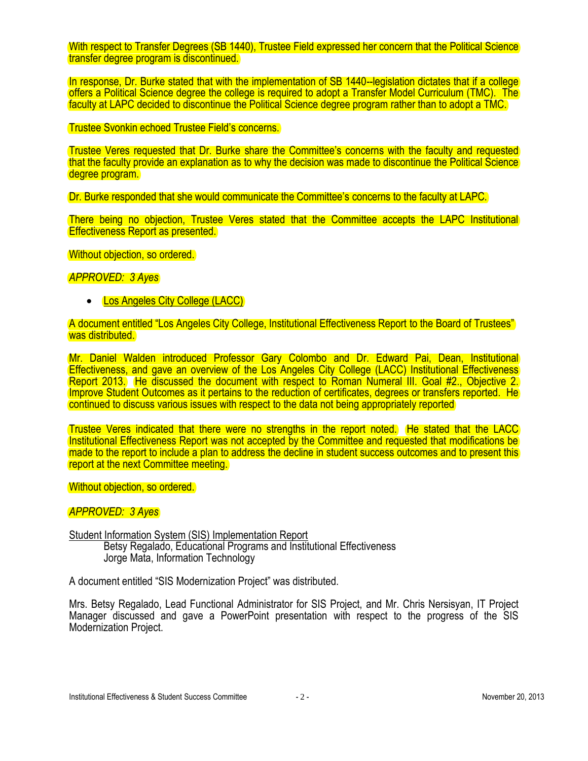With respect to Transfer Degrees (SB 1440), Trustee Field expressed her concern that the Political Science transfer degree program is discontinued.

In response, Dr. Burke stated that with the implementation of SB 1440--legislation dictates that if a college offers a Political Science degree the college is required to adopt a Transfer Model Curriculum (TMC). The faculty at LAPC decided to discontinue the Political Science degree program rather than to adopt a TMC.

Trustee Svonkin echoed Trustee Field's concerns.

Trustee Veres requested that Dr. Burke share the Committee's concerns with the faculty and requested that the faculty provide an explanation as to why the decision was made to discontinue the Political Science degree program.

Dr. Burke responded that she would communicate the Committee's concerns to the faculty at LAPC.

There being no objection, Trustee Veres stated that the Committee accepts the LAPC Institutional Effectiveness Report as presented.

Without objection, so ordered.

*APPROVED: 3 Ayes*

• Los Angeles City College (LACC)

A document entitled "Los Angeles City College, Institutional Effectiveness Report to the Board of Trustees" was distributed.

Mr. Daniel Walden introduced Professor Gary Colombo and Dr. Edward Pai, Dean, Institutional Effectiveness, and gave an overview of the Los Angeles City College (LACC) Institutional Effectiveness Report 2013. He discussed the document with respect to Roman Numeral III. Goal #2., Objective 2. Improve Student Outcomes as it pertains to the reduction of certificates, degrees or transfers reported. He continued to discuss various issues with respect to the data not being appropriately reported

Trustee Veres indicated that there were no strengths in the report noted. He stated that the LACC Institutional Effectiveness Report was not accepted by the Committee and requested that modifications be made to the report to include a plan to address the decline in student success outcomes and to present this report at the next Committee meeting.

Without objection, so ordered.

*APPROVED: 3 Ayes*

Student Information System (SIS) Implementation Report

Betsy Regalado, Educational Programs and Institutional Effectiveness Jorge Mata, Information Technology

A document entitled "SIS Modernization Project" was distributed.

Mrs. Betsy Regalado, Lead Functional Administrator for SIS Project, and Mr. Chris Nersisyan, IT Project Manager discussed and gave a PowerPoint presentation with respect to the progress of the SIS Modernization Project.